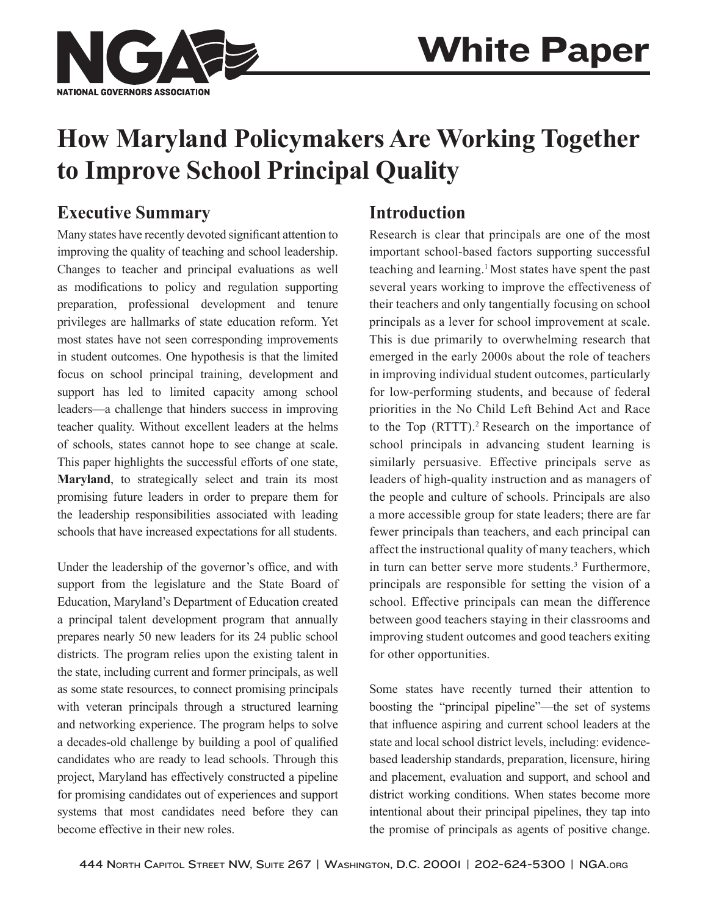

# **How Maryland Policymakers Are Working Together to Improve School Principal Quality**

## **Executive Summary**

Many states have recently devoted significant attention to improving the quality of teaching and school leadership. Changes to teacher and principal evaluations as well as modifications to policy and regulation supporting preparation, professional development and tenure privileges are hallmarks of state education reform. Yet most states have not seen corresponding improvements in student outcomes. One hypothesis is that the limited focus on school principal training, development and support has led to limited capacity among school leaders—a challenge that hinders success in improving teacher quality. Without excellent leaders at the helms of schools, states cannot hope to see change at scale. This paper highlights the successful efforts of one state, **Maryland**, to strategically select and train its most promising future leaders in order to prepare them for the leadership responsibilities associated with leading schools that have increased expectations for all students.

Under the leadership of the governor's office, and with support from the legislature and the State Board of Education, Maryland's Department of Education created a principal talent development program that annually prepares nearly 50 new leaders for its 24 public school districts. The program relies upon the existing talent in the state, including current and former principals, as well as some state resources, to connect promising principals with veteran principals through a structured learning and networking experience. The program helps to solve a decades-old challenge by building a pool of qualified candidates who are ready to lead schools. Through this project, Maryland has effectively constructed a pipeline for promising candidates out of experiences and support systems that most candidates need before they can become effective in their new roles.

## **Introduction**

Research is clear that principals are one of the most important school-based factors supporting successful teaching and learning.1 Most states have spent the past several years working to improve the effectiveness of their teachers and only tangentially focusing on school principals as a lever for school improvement at scale. This is due primarily to overwhelming research that emerged in the early 2000s about the role of teachers in improving individual student outcomes, particularly for low-performing students, and because of federal priorities in the No Child Left Behind Act and Race to the Top (RTTT).2 Research on the importance of school principals in advancing student learning is similarly persuasive. Effective principals serve as leaders of high-quality instruction and as managers of the people and culture of schools. Principals are also a more accessible group for state leaders; there are far fewer principals than teachers, and each principal can affect the instructional quality of many teachers, which in turn can better serve more students.3 Furthermore, principals are responsible for setting the vision of a school. Effective principals can mean the difference between good teachers staying in their classrooms and improving student outcomes and good teachers exiting for other opportunities.

Some states have recently turned their attention to boosting the "principal pipeline"—the set of systems that influence aspiring and current school leaders at the state and local school district levels, including: evidencebased leadership standards, preparation, licensure, hiring and placement, evaluation and support, and school and district working conditions. When states become more intentional about their principal pipelines, they tap into the promise of principals as agents of positive change.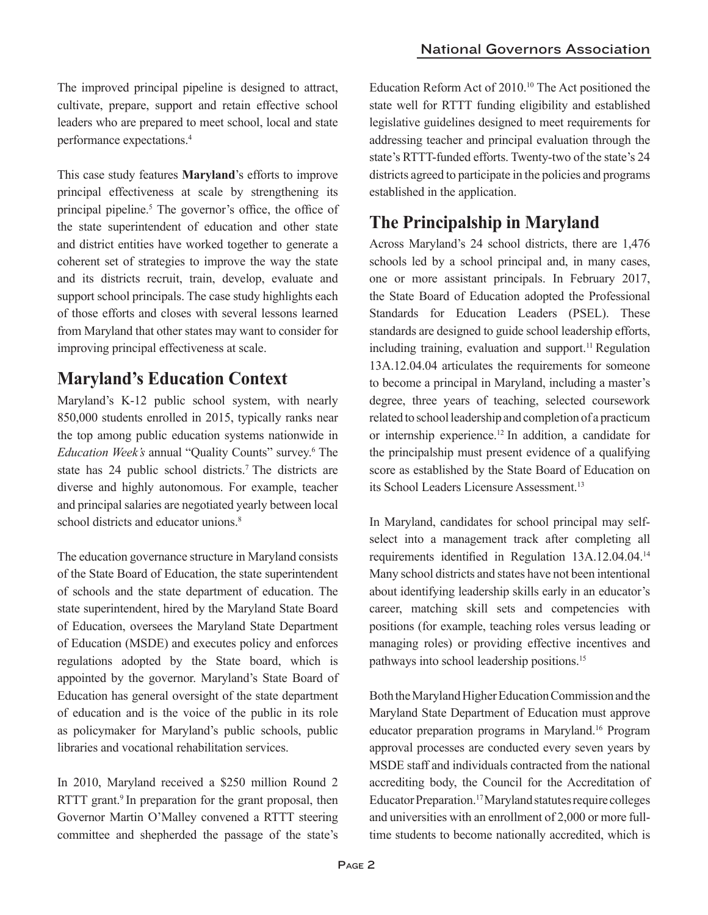The improved principal pipeline is designed to attract, cultivate, prepare, support and retain effective school leaders who are prepared to meet school, local and state performance expectations.4

This case study features **Maryland**'s efforts to improve principal effectiveness at scale by strengthening its principal pipeline.<sup>5</sup> The governor's office, the office of the state superintendent of education and other state and district entities have worked together to generate a coherent set of strategies to improve the way the state and its districts recruit, train, develop, evaluate and support school principals. The case study highlights each of those efforts and closes with several lessons learned from Maryland that other states may want to consider for improving principal effectiveness at scale.

# **Maryland's Education Context**

Maryland's K-12 public school system, with nearly 850,000 students enrolled in 2015, typically ranks near the top among public education systems nationwide in *Education Week's* annual "Quality Counts" survey.6 The state has 24 public school districts.<sup>7</sup> The districts are diverse and highly autonomous. For example, teacher and principal salaries are negotiated yearly between local school districts and educator unions.<sup>8</sup>

The education governance structure in Maryland consists of the State Board of Education, the state superintendent of schools and the state department of education. The state superintendent, hired by the Maryland State Board of Education, oversees the Maryland State Department of Education (MSDE) and executes policy and enforces regulations adopted by the State board, which is appointed by the governor. Maryland's State Board of Education has general oversight of the state department of education and is the voice of the public in its role as policymaker for Maryland's public schools, public libraries and vocational rehabilitation services.

In 2010, Maryland received a \$250 million Round 2 RTTT grant.<sup>9</sup> In preparation for the grant proposal, then Governor Martin O'Malley convened a RTTT steering committee and shepherded the passage of the state's

Education Reform Act of 2010.10 The Act positioned the state well for RTTT funding eligibility and established legislative guidelines designed to meet requirements for addressing teacher and principal evaluation through the state's RTTT-funded efforts. Twenty-two of the state's 24 districts agreed to participate in the policies and programs established in the application.

# **The Principalship in Maryland**

Across Maryland's 24 school districts, there are 1,476 schools led by a school principal and, in many cases, one or more assistant principals. In February 2017, the State Board of Education adopted the Professional Standards for Education Leaders (PSEL). These standards are designed to guide school leadership efforts, including training, evaluation and support.<sup>11</sup> Regulation 13A.12.04.04 articulates the requirements for someone to become a principal in Maryland, including a master's degree, three years of teaching, selected coursework related to school leadership and completion of a practicum or internship experience.12 In addition, a candidate for the principalship must present evidence of a qualifying score as established by the State Board of Education on its School Leaders Licensure Assessment.<sup>13</sup>

In Maryland, candidates for school principal may selfselect into a management track after completing all requirements identified in Regulation 13A.12.04.04.<sup>14</sup> Many school districts and states have not been intentional about identifying leadership skills early in an educator's career, matching skill sets and competencies with positions (for example, teaching roles versus leading or managing roles) or providing effective incentives and pathways into school leadership positions.15

Both the Maryland Higher Education Commission and the Maryland State Department of Education must approve educator preparation programs in Maryland.16 Program approval processes are conducted every seven years by MSDE staff and individuals contracted from the national accrediting body, the Council for the Accreditation of Educator Preparation.17 Maryland statutes require colleges and universities with an enrollment of 2,000 or more fulltime students to become nationally accredited, which is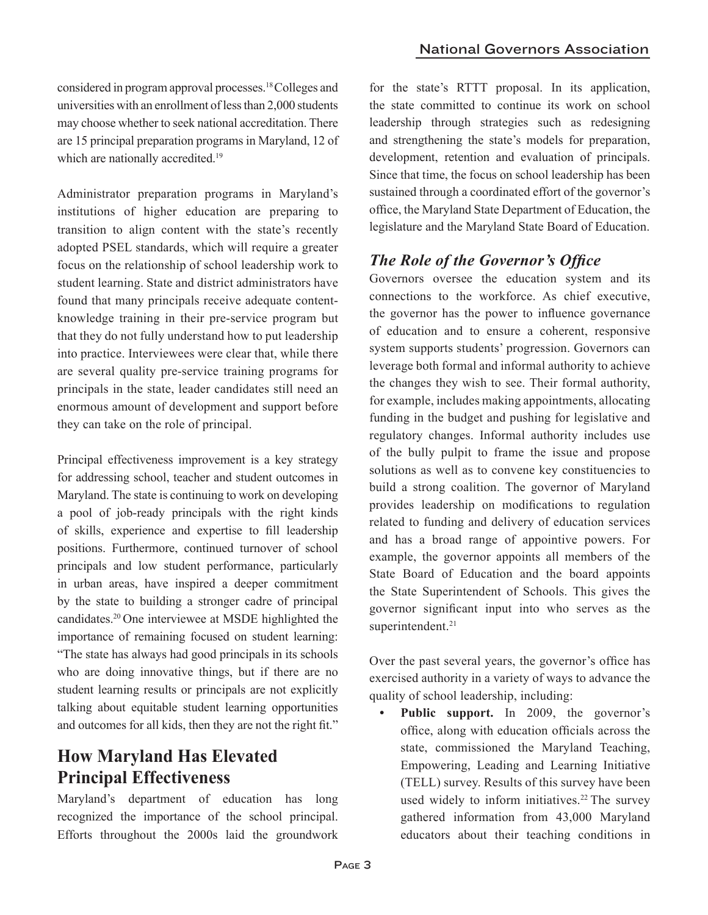considered in program approval processes.18 Colleges and universities with an enrollment of less than 2,000 students may choose whether to seek national accreditation. There are 15 principal preparation programs in Maryland, 12 of which are nationally accredited.<sup>19</sup>

Administrator preparation programs in Maryland's institutions of higher education are preparing to transition to align content with the state's recently adopted PSEL standards, which will require a greater focus on the relationship of school leadership work to student learning. State and district administrators have found that many principals receive adequate contentknowledge training in their pre-service program but that they do not fully understand how to put leadership into practice. Interviewees were clear that, while there are several quality pre-service training programs for principals in the state, leader candidates still need an enormous amount of development and support before they can take on the role of principal.

Principal effectiveness improvement is a key strategy for addressing school, teacher and student outcomes in Maryland. The state is continuing to work on developing a pool of job-ready principals with the right kinds of skills, experience and expertise to fill leadership positions. Furthermore, continued turnover of school principals and low student performance, particularly in urban areas, have inspired a deeper commitment by the state to building a stronger cadre of principal candidates.20 One interviewee at MSDE highlighted the importance of remaining focused on student learning: "The state has always had good principals in its schools who are doing innovative things, but if there are no student learning results or principals are not explicitly talking about equitable student learning opportunities and outcomes for all kids, then they are not the right fit."

## **How Maryland Has Elevated Principal Effectiveness**

Maryland's department of education has long recognized the importance of the school principal. Efforts throughout the 2000s laid the groundwork

for the state's RTTT proposal. In its application, the state committed to continue its work on school leadership through strategies such as redesigning and strengthening the state's models for preparation, development, retention and evaluation of principals. Since that time, the focus on school leadership has been sustained through a coordinated effort of the governor's office, the Maryland State Department of Education, the legislature and the Maryland State Board of Education.

#### *The Role of the Governor's Office*

Governors oversee the education system and its connections to the workforce. As chief executive, the governor has the power to influence governance of education and to ensure a coherent, responsive system supports students' progression. Governors can leverage both formal and informal authority to achieve the changes they wish to see. Their formal authority, for example, includes making appointments, allocating funding in the budget and pushing for legislative and regulatory changes. Informal authority includes use of the bully pulpit to frame the issue and propose solutions as well as to convene key constituencies to build a strong coalition. The governor of Maryland provides leadership on modifications to regulation related to funding and delivery of education services and has a broad range of appointive powers. For example, the governor appoints all members of the State Board of Education and the board appoints the State Superintendent of Schools. This gives the governor significant input into who serves as the superintendent.<sup>21</sup>

Over the past several years, the governor's office has exercised authority in a variety of ways to advance the quality of school leadership, including:

**• Public support.** In 2009, the governor's office, along with education officials across the state, commissioned the Maryland Teaching, Empowering, Leading and Learning Initiative (TELL) survey. Results of this survey have been used widely to inform initiatives.<sup>22</sup> The survey gathered information from 43,000 Maryland educators about their teaching conditions in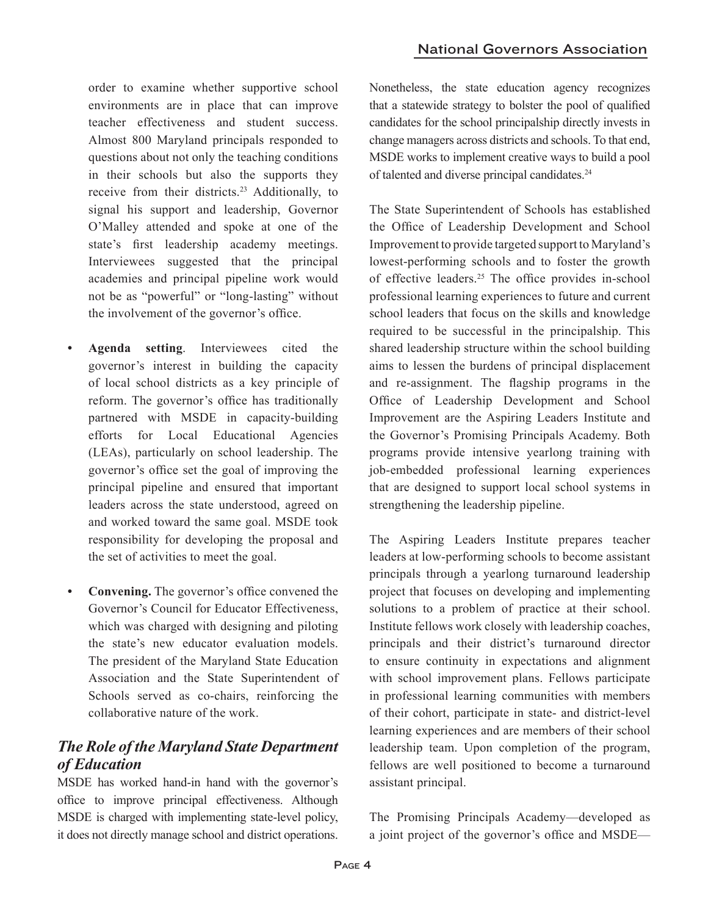order to examine whether supportive school environments are in place that can improve teacher effectiveness and student success. Almost 800 Maryland principals responded to questions about not only the teaching conditions in their schools but also the supports they receive from their districts.<sup>23</sup> Additionally, to signal his support and leadership, Governor O'Malley attended and spoke at one of the state's first leadership academy meetings. Interviewees suggested that the principal academies and principal pipeline work would not be as "powerful" or "long-lasting" without the involvement of the governor's office.

- **• Agenda setting**. Interviewees cited the governor's interest in building the capacity of local school districts as a key principle of reform. The governor's office has traditionally partnered with MSDE in capacity-building efforts for Local Educational Agencies (LEAs), particularly on school leadership. The governor's office set the goal of improving the principal pipeline and ensured that important leaders across the state understood, agreed on and worked toward the same goal. MSDE took responsibility for developing the proposal and the set of activities to meet the goal.
- **• Convening.** The governor's office convened the Governor's Council for Educator Effectiveness, which was charged with designing and piloting the state's new educator evaluation models. The president of the Maryland State Education Association and the State Superintendent of Schools served as co-chairs, reinforcing the collaborative nature of the work.

#### *The Role of the Maryland State Department of Education*

MSDE has worked hand-in hand with the governor's office to improve principal effectiveness. Although MSDE is charged with implementing state-level policy, it does not directly manage school and district operations. Nonetheless, the state education agency recognizes that a statewide strategy to bolster the pool of qualified candidates for the school principalship directly invests in change managers across districts and schools. To that end, MSDE works to implement creative ways to build a pool of talented and diverse principal candidates.24

The State Superintendent of Schools has established the Office of Leadership Development and School Improvement to provide targeted support to Maryland's lowest-performing schools and to foster the growth of effective leaders.25 The office provides in-school professional learning experiences to future and current school leaders that focus on the skills and knowledge required to be successful in the principalship. This shared leadership structure within the school building aims to lessen the burdens of principal displacement and re-assignment. The flagship programs in the Office of Leadership Development and School Improvement are the Aspiring Leaders Institute and the Governor's Promising Principals Academy. Both programs provide intensive yearlong training with job-embedded professional learning experiences that are designed to support local school systems in strengthening the leadership pipeline.

The Aspiring Leaders Institute prepares teacher leaders at low-performing schools to become assistant principals through a yearlong turnaround leadership project that focuses on developing and implementing solutions to a problem of practice at their school. Institute fellows work closely with leadership coaches, principals and their district's turnaround director to ensure continuity in expectations and alignment with school improvement plans. Fellows participate in professional learning communities with members of their cohort, participate in state- and district-level learning experiences and are members of their school leadership team. Upon completion of the program, fellows are well positioned to become a turnaround assistant principal.

The Promising Principals Academy—developed as a joint project of the governor's office and MSDE—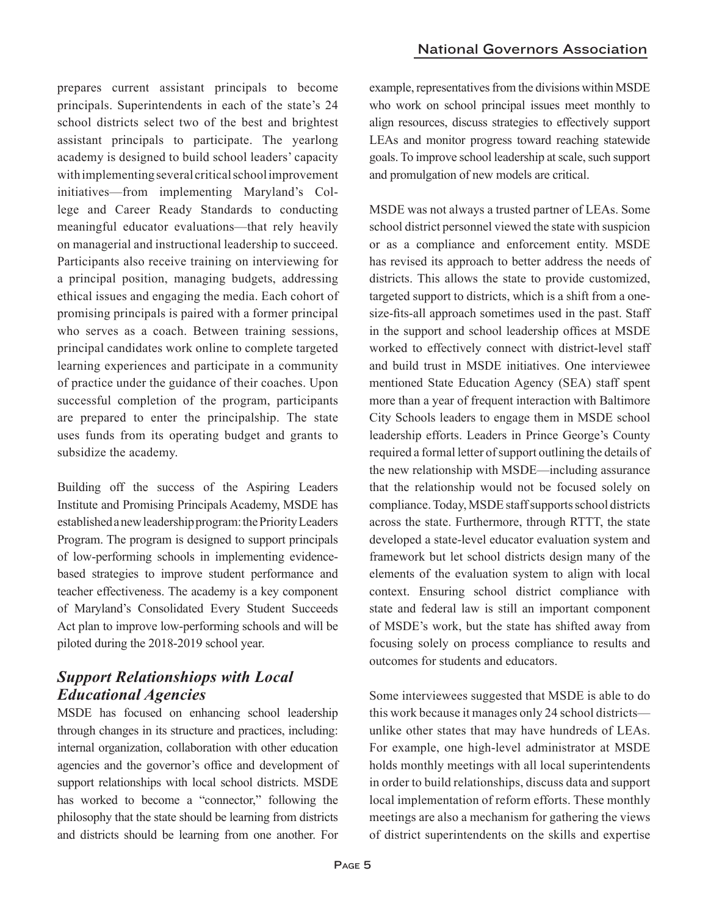prepares current assistant principals to become principals. Superintendents in each of the state's 24 school districts select two of the best and brightest assistant principals to participate. The yearlong academy is designed to build school leaders' capacity with implementing several critical school improvement initiatives—from implementing Maryland's College and Career Ready Standards to conducting meaningful educator evaluations—that rely heavily on managerial and instructional leadership to succeed. Participants also receive training on interviewing for a principal position, managing budgets, addressing ethical issues and engaging the media. Each cohort of promising principals is paired with a former principal who serves as a coach. Between training sessions, principal candidates work online to complete targeted learning experiences and participate in a community of practice under the guidance of their coaches. Upon successful completion of the program, participants are prepared to enter the principalship. The state uses funds from its operating budget and grants to subsidize the academy.

Building off the success of the Aspiring Leaders Institute and Promising Principals Academy, MSDE has established a new leadership program: the Priority Leaders Program. The program is designed to support principals of low-performing schools in implementing evidencebased strategies to improve student performance and teacher effectiveness. The academy is a key component of Maryland's Consolidated Every Student Succeeds Act plan to improve low-performing schools and will be piloted during the 2018-2019 school year.

#### *Support Relationshiops with Local Educational Agencies*

MSDE has focused on enhancing school leadership through changes in its structure and practices, including: internal organization, collaboration with other education agencies and the governor's office and development of support relationships with local school districts. MSDE has worked to become a "connector," following the philosophy that the state should be learning from districts and districts should be learning from one another. For

example, representatives from the divisions within MSDE who work on school principal issues meet monthly to align resources, discuss strategies to effectively support LEAs and monitor progress toward reaching statewide goals. To improve school leadership at scale, such support and promulgation of new models are critical.

MSDE was not always a trusted partner of LEAs. Some school district personnel viewed the state with suspicion or as a compliance and enforcement entity. MSDE has revised its approach to better address the needs of districts. This allows the state to provide customized, targeted support to districts, which is a shift from a onesize-fits-all approach sometimes used in the past. Staff in the support and school leadership offices at MSDE worked to effectively connect with district-level staff and build trust in MSDE initiatives. One interviewee mentioned State Education Agency (SEA) staff spent more than a year of frequent interaction with Baltimore City Schools leaders to engage them in MSDE school leadership efforts. Leaders in Prince George's County required a formal letter of support outlining the details of the new relationship with MSDE—including assurance that the relationship would not be focused solely on compliance. Today, MSDE staff supports school districts across the state. Furthermore, through RTTT, the state developed a state-level educator evaluation system and framework but let school districts design many of the elements of the evaluation system to align with local context. Ensuring school district compliance with state and federal law is still an important component of MSDE's work, but the state has shifted away from focusing solely on process compliance to results and outcomes for students and educators.

Some interviewees suggested that MSDE is able to do this work because it manages only 24 school districts unlike other states that may have hundreds of LEAs. For example, one high-level administrator at MSDE holds monthly meetings with all local superintendents in order to build relationships, discuss data and support local implementation of reform efforts. These monthly meetings are also a mechanism for gathering the views of district superintendents on the skills and expertise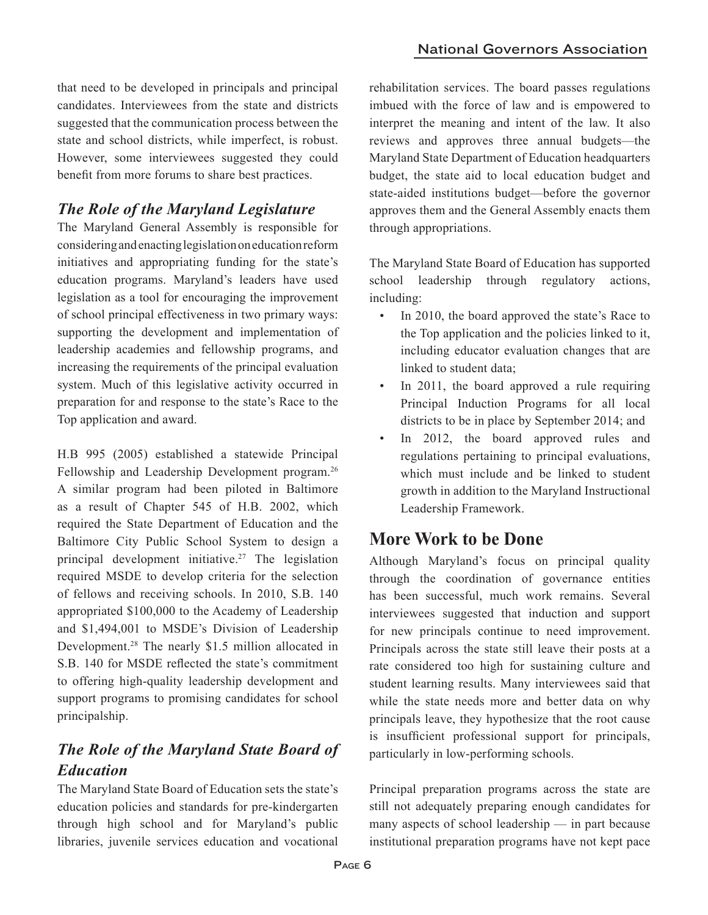that need to be developed in principals and principal candidates. Interviewees from the state and districts suggested that the communication process between the state and school districts, while imperfect, is robust. However, some interviewees suggested they could benefit from more forums to share best practices.

#### *The Role of the Maryland Legislature*

The Maryland General Assembly is responsible for considering and enacting legislation on education reform initiatives and appropriating funding for the state's education programs. Maryland's leaders have used legislation as a tool for encouraging the improvement of school principal effectiveness in two primary ways: supporting the development and implementation of leadership academies and fellowship programs, and increasing the requirements of the principal evaluation system. Much of this legislative activity occurred in preparation for and response to the state's Race to the Top application and award.

H.B 995 (2005) established a statewide Principal Fellowship and Leadership Development program.26 A similar program had been piloted in Baltimore as a result of Chapter 545 of H.B. 2002, which required the State Department of Education and the Baltimore City Public School System to design a principal development initiative.<sup>27</sup> The legislation required MSDE to develop criteria for the selection of fellows and receiving schools. In 2010, S.B. 140 appropriated \$100,000 to the Academy of Leadership and \$1,494,001 to MSDE's Division of Leadership Development.28 The nearly \$1.5 million allocated in S.B. 140 for MSDE reflected the state's commitment to offering high-quality leadership development and support programs to promising candidates for school principalship.

## *The Role of the Maryland State Board of Education*

The Maryland State Board of Education sets the state's education policies and standards for pre-kindergarten through high school and for Maryland's public libraries, juvenile services education and vocational

rehabilitation services. The board passes regulations imbued with the force of law and is empowered to interpret the meaning and intent of the law. It also reviews and approves three annual budgets—the Maryland State Department of Education headquarters budget, the state aid to local education budget and state-aided institutions budget—before the governor approves them and the General Assembly enacts them through appropriations.

The Maryland State Board of Education has supported school leadership through regulatory actions, including:

- In 2010, the board approved the state's Race to the Top application and the policies linked to it, including educator evaluation changes that are linked to student data;
- In 2011, the board approved a rule requiring Principal Induction Programs for all local districts to be in place by September 2014; and
- In 2012, the board approved rules and regulations pertaining to principal evaluations, which must include and be linked to student growth in addition to the Maryland Instructional Leadership Framework.

## **More Work to be Done**

Although Maryland's focus on principal quality through the coordination of governance entities has been successful, much work remains. Several interviewees suggested that induction and support for new principals continue to need improvement. Principals across the state still leave their posts at a rate considered too high for sustaining culture and student learning results. Many interviewees said that while the state needs more and better data on why principals leave, they hypothesize that the root cause is insufficient professional support for principals, particularly in low-performing schools.

Principal preparation programs across the state are still not adequately preparing enough candidates for many aspects of school leadership — in part because institutional preparation programs have not kept pace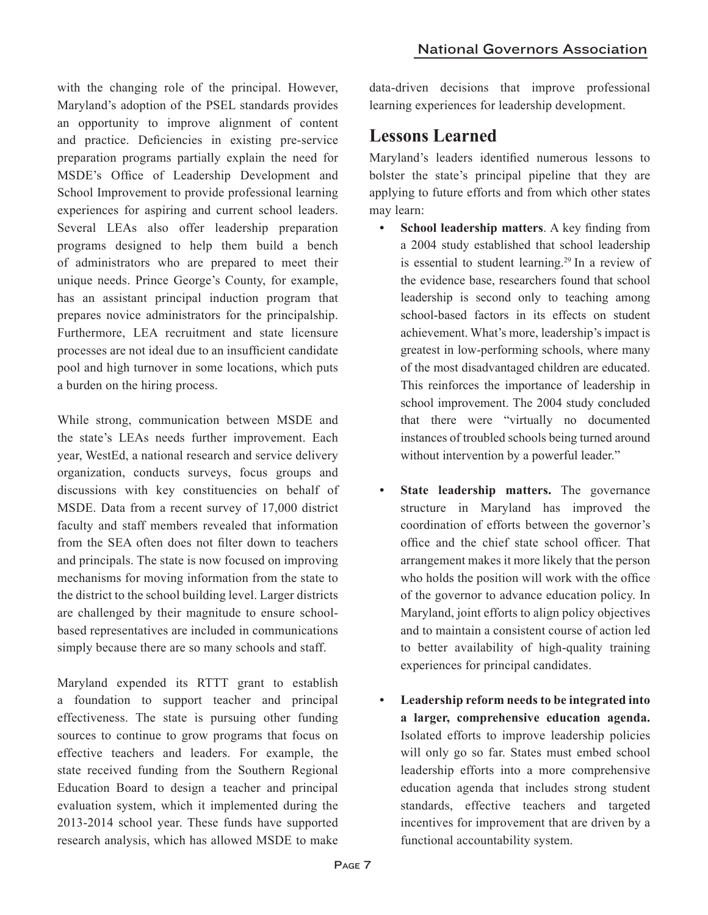with the changing role of the principal. However, Maryland's adoption of the PSEL standards provides an opportunity to improve alignment of content and practice. Deficiencies in existing pre-service preparation programs partially explain the need for MSDE's Office of Leadership Development and School Improvement to provide professional learning experiences for aspiring and current school leaders. Several LEAs also offer leadership preparation programs designed to help them build a bench of administrators who are prepared to meet their unique needs. Prince George's County, for example, has an assistant principal induction program that prepares novice administrators for the principalship. Furthermore, LEA recruitment and state licensure processes are not ideal due to an insufficient candidate pool and high turnover in some locations, which puts a burden on the hiring process.

While strong, communication between MSDE and the state's LEAs needs further improvement. Each year, WestEd, a national research and service delivery organization, conducts surveys, focus groups and discussions with key constituencies on behalf of MSDE. Data from a recent survey of 17,000 district faculty and staff members revealed that information from the SEA often does not filter down to teachers and principals. The state is now focused on improving mechanisms for moving information from the state to the district to the school building level. Larger districts are challenged by their magnitude to ensure schoolbased representatives are included in communications simply because there are so many schools and staff.

Maryland expended its RTTT grant to establish a foundation to support teacher and principal effectiveness. The state is pursuing other funding sources to continue to grow programs that focus on effective teachers and leaders. For example, the state received funding from the Southern Regional Education Board to design a teacher and principal evaluation system, which it implemented during the 2013-2014 school year. These funds have supported research analysis, which has allowed MSDE to make

data-driven decisions that improve professional learning experiences for leadership development.

## **Lessons Learned**

Maryland's leaders identified numerous lessons to bolster the state's principal pipeline that they are applying to future efforts and from which other states may learn:

- **• School leadership matters**. A key finding from a 2004 study established that school leadership is essential to student learning.<sup>29</sup> In a review of the evidence base, researchers found that school leadership is second only to teaching among school-based factors in its effects on student achievement. What's more, leadership's impact is greatest in low-performing schools, where many of the most disadvantaged children are educated. This reinforces the importance of leadership in school improvement. The 2004 study concluded that there were "virtually no documented instances of troubled schools being turned around without intervention by a powerful leader."
- **• State leadership matters.** The governance structure in Maryland has improved the coordination of efforts between the governor's office and the chief state school officer. That arrangement makes it more likely that the person who holds the position will work with the office of the governor to advance education policy. In Maryland, joint efforts to align policy objectives and to maintain a consistent course of action led to better availability of high-quality training experiences for principal candidates.
- **• Leadership reform needs to be integrated into a larger, comprehensive education agenda.** Isolated efforts to improve leadership policies will only go so far. States must embed school leadership efforts into a more comprehensive education agenda that includes strong student standards, effective teachers and targeted incentives for improvement that are driven by a functional accountability system.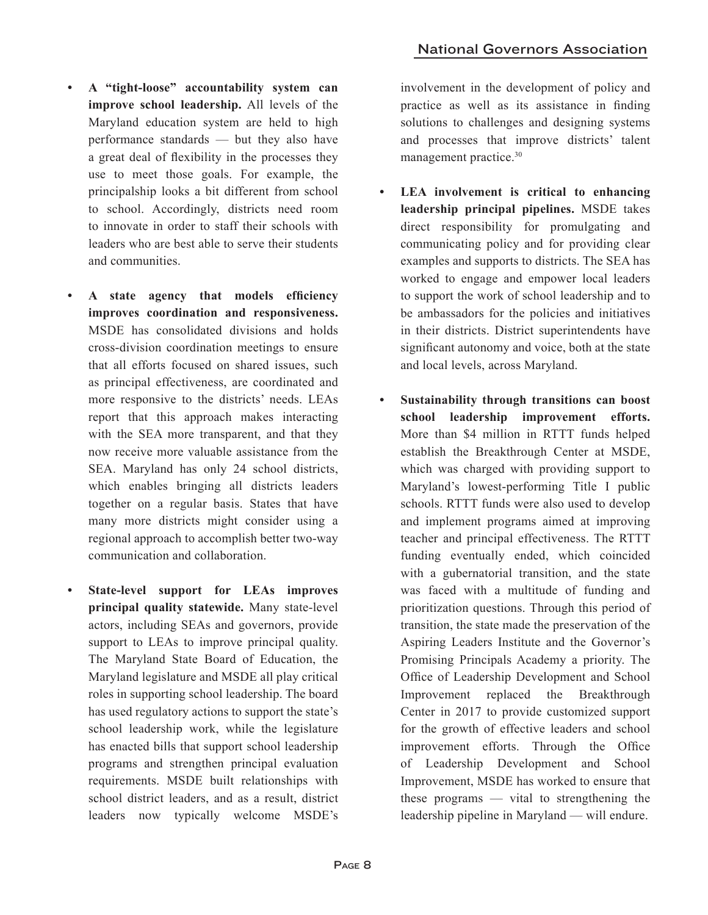- **• A "tight-loose" accountability system can improve school leadership.** All levels of the Maryland education system are held to high performance standards — but they also have a great deal of flexibility in the processes they use to meet those goals. For example, the principalship looks a bit different from school to school. Accordingly, districts need room to innovate in order to staff their schools with leaders who are best able to serve their students and communities.
- **• A state agency that models efficiency improves coordination and responsiveness.** MSDE has consolidated divisions and holds cross-division coordination meetings to ensure that all efforts focused on shared issues, such as principal effectiveness, are coordinated and more responsive to the districts' needs. LEAs report that this approach makes interacting with the SEA more transparent, and that they now receive more valuable assistance from the SEA. Maryland has only 24 school districts, which enables bringing all districts leaders together on a regular basis. States that have many more districts might consider using a regional approach to accomplish better two-way communication and collaboration.
- **• State-level support for LEAs improves principal quality statewide.** Many state-level actors, including SEAs and governors, provide support to LEAs to improve principal quality. The Maryland State Board of Education, the Maryland legislature and MSDE all play critical roles in supporting school leadership. The board has used regulatory actions to support the state's school leadership work, while the legislature has enacted bills that support school leadership programs and strengthen principal evaluation requirements. MSDE built relationships with school district leaders, and as a result, district leaders now typically welcome MSDE's

involvement in the development of policy and practice as well as its assistance in finding solutions to challenges and designing systems and processes that improve districts' talent management practice.30

- **• LEA involvement is critical to enhancing leadership principal pipelines.** MSDE takes direct responsibility for promulgating and communicating policy and for providing clear examples and supports to districts. The SEA has worked to engage and empower local leaders to support the work of school leadership and to be ambassadors for the policies and initiatives in their districts. District superintendents have significant autonomy and voice, both at the state and local levels, across Maryland.
- **• Sustainability through transitions can boost school leadership improvement efforts.** More than \$4 million in RTTT funds helped establish the Breakthrough Center at MSDE, which was charged with providing support to Maryland's lowest-performing Title I public schools. RTTT funds were also used to develop and implement programs aimed at improving teacher and principal effectiveness. The RTTT funding eventually ended, which coincided with a gubernatorial transition, and the state was faced with a multitude of funding and prioritization questions. Through this period of transition, the state made the preservation of the Aspiring Leaders Institute and the Governor's Promising Principals Academy a priority. The Office of Leadership Development and School Improvement replaced the Breakthrough Center in 2017 to provide customized support for the growth of effective leaders and school improvement efforts. Through the Office of Leadership Development and School Improvement, MSDE has worked to ensure that these programs — vital to strengthening the leadership pipeline in Maryland — will endure.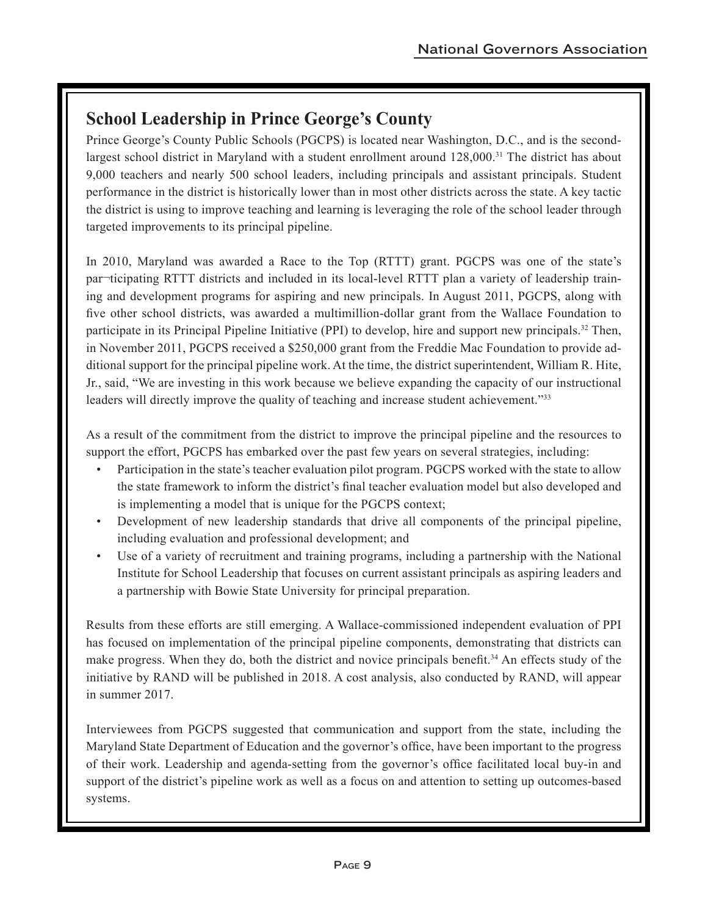# **School Leadership in Prince George's County**

Prince George's County Public Schools (PGCPS) is located near Washington, D.C., and is the secondlargest school district in Maryland with a student enrollment around 128,000.31 The district has about 9,000 teachers and nearly 500 school leaders, including principals and assistant principals. Student performance in the district is historically lower than in most other districts across the state. A key tactic the district is using to improve teaching and learning is leveraging the role of the school leader through targeted improvements to its principal pipeline.

In 2010, Maryland was awarded a Race to the Top (RTTT) grant. PGCPS was one of the state's par¬ticipating RTTT districts and included in its local-level RTTT plan a variety of leadership training and development programs for aspiring and new principals. In August 2011, PGCPS, along with five other school districts, was awarded a multimillion-dollar grant from the Wallace Foundation to participate in its Principal Pipeline Initiative (PPI) to develop, hire and support new principals.<sup>32</sup> Then, in November 2011, PGCPS received a \$250,000 grant from the Freddie Mac Foundation to provide additional support for the principal pipeline work. At the time, the district superintendent, William R. Hite, Jr., said, "We are investing in this work because we believe expanding the capacity of our instructional leaders will directly improve the quality of teaching and increase student achievement."<sup>33</sup>

As a result of the commitment from the district to improve the principal pipeline and the resources to support the effort, PGCPS has embarked over the past few years on several strategies, including:

- Participation in the state's teacher evaluation pilot program. PGCPS worked with the state to allow the state framework to inform the district's final teacher evaluation model but also developed and is implementing a model that is unique for the PGCPS context;
- Development of new leadership standards that drive all components of the principal pipeline, including evaluation and professional development; and
- Use of a variety of recruitment and training programs, including a partnership with the National Institute for School Leadership that focuses on current assistant principals as aspiring leaders and a partnership with Bowie State University for principal preparation.

Results from these efforts are still emerging. A Wallace-commissioned independent evaluation of PPI has focused on implementation of the principal pipeline components, demonstrating that districts can make progress. When they do, both the district and novice principals benefit.34 An effects study of the initiative by RAND will be published in 2018. A cost analysis, also conducted by RAND, will appear in summer 2017.

Interviewees from PGCPS suggested that communication and support from the state, including the Maryland State Department of Education and the governor's office, have been important to the progress of their work. Leadership and agenda-setting from the governor's office facilitated local buy-in and support of the district's pipeline work as well as a focus on and attention to setting up outcomes-based systems.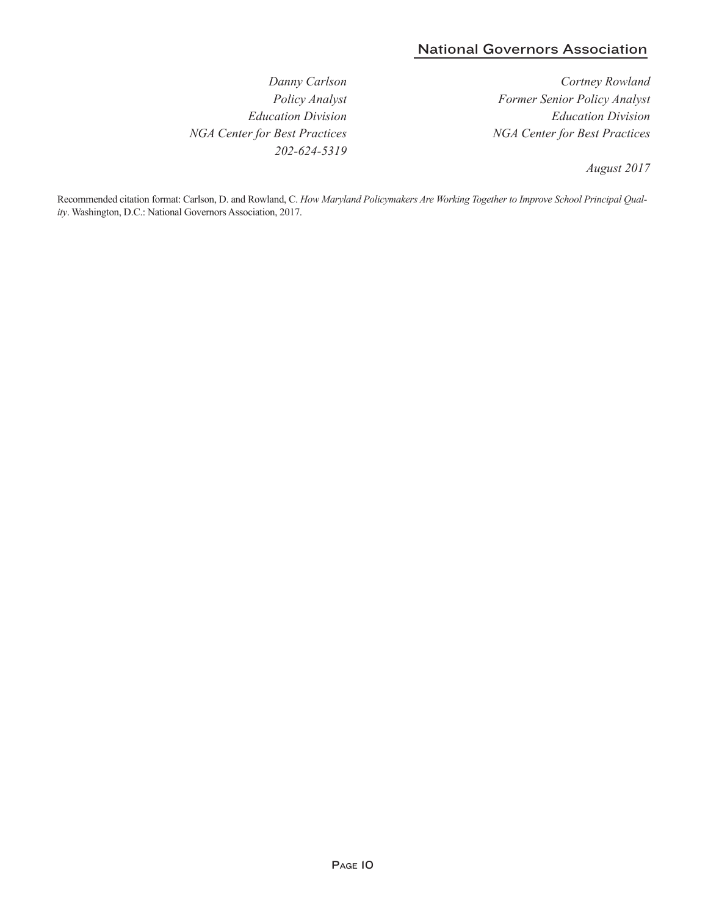#### National Governors Association

*Danny Carlson Policy Analyst Education Division NGA Center for Best Practices 202-624-5319*

*Cortney Rowland Former Senior Policy Analyst Education Division NGA Center for Best Practices*

*August 2017*

Recommended citation format: Carlson, D. and Rowland, C. *How Maryland Policymakers Are Working Together to Improve School Principal Quality*. Washington, D.C.: National Governors Association, 2017.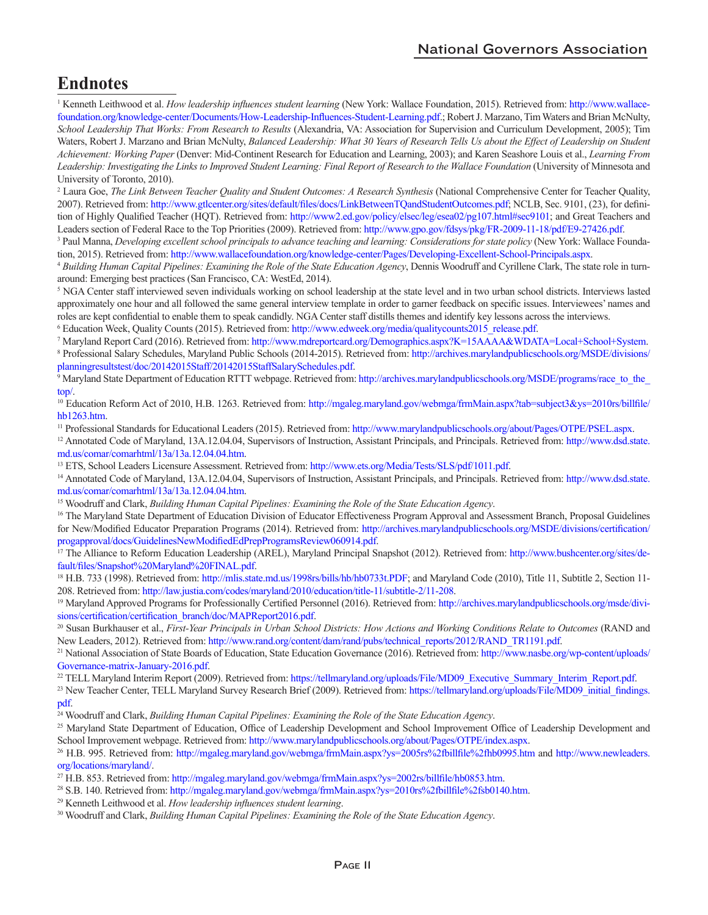### **Endnotes**

<sup>1</sup> Kenneth Leithwood et al. *How leadership influences student learning* (New York: Wallace Foundation, 2015). Retrieved from: http://www.wallace[foundation.org/knowledge-center/Documents/How-Leadership-Influences-Student-Learning.pdf](http://www.wallacefoundation.org/knowledge-center/Documents/How-Leadership-Influences-Student-Learning.pdf).; Robert J. Marzano, Tim Waters and Brian McNulty, *School Leadership That Works: From Research to Results* (Alexandria, VA: Association for Supervision and Curriculum Development, 2005); Tim Waters, Robert J. Marzano and Brian McNulty, *Balanced Leadership: What 30 Years of Research Tells Us about the Effect of Leadership on Student Achievement: Working Paper* (Denver: Mid-Continent Research for Education and Learning, 2003); and Karen Seashore Louis et al., *Learning From Leadership: Investigating the Links to Improved Student Learning: Final Report of Research to the Wallace Foundation* (University of Minnesota and University of Toronto, 2010).

<sup>2</sup> Laura Goe, The Link Between Teacher Quality and Student Outcomes: A Research Synthesis (National Comprehensive Center for Teacher Quality, 2007). Retrieved from: [http://www.gtlcenter.org/sites/default/files/docs/LinkBetweenTQandStudentOutcomes.pdf;](http://www.gtlcenter.org/sites/default/files/docs/LinkBetweenTQandStudentOutcomes.pdf) NCLB, Sec. 9101, (23), for definition of Highly Qualified Teacher (HQT). Retrieved from: [http://www2.ed.gov/policy/elsec/leg/esea02/pg107.html#sec9101;](http://www2.ed.gov/policy/elsec/leg/esea02/pg107.html#sec9101) and Great Teachers and Leaders section of Federal Race to the Top Priorities (2009). Retrieved from: [http://www.gpo.gov/fdsys/pkg/FR-2009-11-18/pdf/E9-27426.pdf.](http://www.gpo.gov/fdsys/pkg/FR-2009-11-18/pdf/E9-27426.pdf)

<sup>3</sup> Paul Manna, *Developing excellent school principals to advance teaching and learning: Considerations for state policy* (New York: Wallace Foundation, 2015). Retrieved from: [http://www.wallacefoundation.org/knowledge-center/Pages/Developing-Excellent-School-Principals.aspx.](http://www.wallacefoundation.org/knowledge-center/Pages/Developing-Excellent-School-Principals.aspx)

<sup>4</sup> *Building Human Capital Pipelines: Examining the Role of the State Education Agency*, Dennis Woodruff and Cyrillene Clark, The state role in turnaround: Emerging best practices (San Francisco, CA: WestEd, 2014).

<sup>5</sup> NGA Center staff interviewed seven individuals working on school leadership at the state level and in two urban school districts. Interviews lasted approximately one hour and all followed the same general interview template in order to garner feedback on specific issues. Interviewees' names and roles are kept confidential to enable them to speak candidly. NGA Center staff distills themes and identify key lessons across the interviews.

<sup>6</sup> Education Week, Quality Counts (2015). Retrieved from: [http://www.edweek.org/media/qualitycounts2015\\_release.pdf.](http://www.edweek.org/media/qualitycounts2015_release.pdf)<br>7 Maryland Report Card (2016). Retrieved from: http://www.mdreportcard.org/Demographics.aspy2K=15AAAA&WD

<sup>7</sup> Maryland Report Card (2016). Retrieved from: [http://www.mdreportcard.org/Demographics.aspx?K=15AAAA&WDATA=Local+School+System.](http://www.mdreportcard.org/Demographics.aspx?K=15AAAA&WDATA=Local+School+System)

8  [Professional Salary Schedules, Maryland Public Schools \(2014-2015\). Retrieved from: http://archives.marylandpublicschools.org/MSDE/divisions/](http://archives.marylandpublicschools.org/MSDE/divisions/planningresultstest/doc/20142015Staff/20142015StaffSalarySchedules.pdf) planningresultstest/doc/20142015Staff/20142015StaffSalarySchedules.pdf.

<sup>9</sup> [Maryland State Department of Education RTTT webpage. Retrieved from: http://archives.marylandpublicschools.org/MSDE/programs/race\\_to\\_the\\_](http://archives.marylandpublicschools.org/MSDE/programs/race_to_the_top/) top/.

<sup>10</sup> Education Reform Act of 2010, H.B. 1263. Retrieved from: [http://mgaleg.maryland.gov/webmga/frmMain.aspx?tab=subject3&ys=2010rs/billfile/](http://mgaleg.maryland.gov/webmga/frmMain.aspx?tab=subject3&ys=2010rs/billfile/hb1263.htm) hb1263.htm.

11 Professional Standards for Educational Leaders (2015). Retrieved from: [http://www.marylandpublicschools.org/about/Pages/OTPE/PSEL.aspx.](http://www.marylandpublicschools.org/about/Pages/OTPE/PSEL.aspx)

12 Annotated Code of Maryland, 13A.12.04.04, Supervisors of Instruction, Assistant Principals, and Principals. Retrieved from: http://www.dsd.state.

md.us/comar/comarhtml/13a/13a.12.04.04.htm.<br><sup>13</sup> [ETS, School Leaders Licensure Assessment. Retrieved from:](http://www.dsd.state.md.us/comar/comarhtml/13a/13a.12.04.04.htm)<http://www.ets.org/Media/Tests/SLS/pdf/1011.pdf>.<br><sup>14</sup> Annotated Code of Maryland, 13A.12.04.04, Supervisors of Inst md.us/comar/comarhtml/13a/13a.12.04.04.htm.

<sup>15</sup> Woodruff and Clark, *Building Human Capital Pipelines: Examining the Role of the State Education Agency.*<br><sup>16</sup> The Maryland State Department of Education Division of Educator Effectiveness Program Approval and Assessm [for New/Modified Educator Preparation Programs \(2014\). Retrieved from: http://archives.marylandpublicschools.org/MSDE/divisions/certification/](http://archives.marylandpublicschools.org/MSDE/divisions/certification/progapproval/docs/GuidelinesNewModifiedEdPrepProgramsReview060914.pdf) progapproval/docs/GuidelinesNewModifiedEdPrepProgramsReview060914.pdf.

<sup>17</sup> The Alliance to Reform Education Leadership (AREL), Maryland Principal Snapshot (2012). Retrieved from: http://www.bushcenter.org/sites/de-

fault/files/Snapshot%20Maryland%20FINAL.pdf.<br><sup>18</sup> H.B[.](http://www.bushcenter.org/sites/default/files/Snapshot%20Maryland%20FINAL.pdf) 733 (1998). Retrieved from: [http://mlis.state.md.us/1998rs/bills/hb/hb0733t.PDF;](http://www.bushcenter.org/sites/default/files/Snapshot%20Maryland%20FINAL.pdf) and Maryland Code (2010), Title 11, Subtitle 2, Section 11-

208. Retrieved from: [http://law.justia.com/codes/maryland/2010/education/title-11/subtitle-2/11-208.](http://law.justia.com/codes/maryland/2010/education/title-11/subtitle-2/11-208)<br><sup>19</sup> [Maryland Approved Programs for Professionally Certified Personnel \(2016\). Retrieved from:](http://archives.marylandpublicschools.org/msde/divisions/) http://archives.marylandpu sions/certification/certification\_branch/doc/MAPReport2016.pdf.

20 Susan Burkhauser et al., *First-Year Principals in Urban School Districts: How Actions and Working Conditions Relate to Outcomes* (RAND and New Leaders, 2012). Retrieved from[: http://www.rand.org/content/dam/rand/pubs/technical\\_reports/2012/RAND\\_TR1191.pdf.](http://www.rand.org/content/dam/rand/pubs/technical_reports/2012/RAND_TR1191.pdf)

<sup>21</sup> National Association of State Boards of Education, State Education Governance (2016). Retrieved from: http://www.nasbe.org/wp-content/uploads/ Governance-matrix-January-2016.pdf.

<sup>22</sup> TELL Maryland Interim Report (2009). Retrieved from: [https://tellmaryland.org/uploads/File/MD09\\_Executive\\_Summary\\_Interim\\_Report.pdf](https://tellmaryland.org/uploads/File/MD09_Executive_Summary_Interim_Report.pdf).

<sup>23</sup> New Teacher Center, TELL Maryland Survey Research Brief (2009). Retrieved from: https://tellmaryland.org/uploads/File/MD09\_initial\_findings. pdf.

24 Woodruff and Clark, *Building Human Capital Pipelines: Examining the Role of the State Education Agency*.

<sup>25</sup> Maryland State Department of Education, Office of Leadership Development and School Improvement Office of Leadership Development and School Improvement webpage. Retrieved from: [http://www.marylandpublicschools.org/about/Pages/OTPE/index.aspx.](http://www.marylandpublicschools.org/about/Pages/OTPE/index.aspx)

26 H.B. 995. Retrieved from: <http://mgaleg.maryland.gov/webmga/frmMain.aspx?ys=2005rs%2fbillfile%2fhb0995.htm> and http://www.newleaders. org/locations/maryland/.

27 H.B. 853. Retrieved from: <http://mgaleg.maryland.gov/webmga/frmMain.aspx?ys=2002rs/billfile/hb0853.htm>.

28 S.B. 140. Retrieved from: <http://mgaleg.maryland.gov/webmga/frmMain.aspx?ys=2010rs%2fbillfile%2fsb0140.htm>.

29 Kenneth Leithwood et al. *How leadership influences student learning*.

30 Woodruff and Clark, *Building Human Capital Pipelines: Examining the Role of the State Education Agency*.